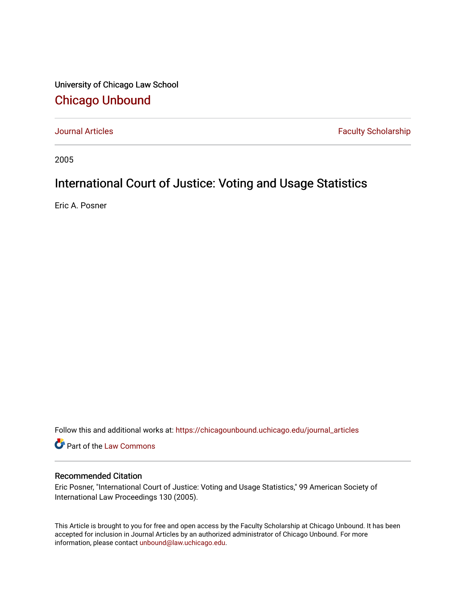University of Chicago Law School [Chicago Unbound](https://chicagounbound.uchicago.edu/)

[Journal Articles](https://chicagounbound.uchicago.edu/journal_articles) **Faculty Scholarship Faculty Scholarship** 

2005

# International Court of Justice: Voting and Usage Statistics

Eric A. Posner

Follow this and additional works at: [https://chicagounbound.uchicago.edu/journal\\_articles](https://chicagounbound.uchicago.edu/journal_articles?utm_source=chicagounbound.uchicago.edu%2Fjournal_articles%2F7683&utm_medium=PDF&utm_campaign=PDFCoverPages) 

Part of the [Law Commons](http://network.bepress.com/hgg/discipline/578?utm_source=chicagounbound.uchicago.edu%2Fjournal_articles%2F7683&utm_medium=PDF&utm_campaign=PDFCoverPages)

### Recommended Citation

Eric Posner, "International Court of Justice: Voting and Usage Statistics," 99 American Society of International Law Proceedings 130 (2005).

This Article is brought to you for free and open access by the Faculty Scholarship at Chicago Unbound. It has been accepted for inclusion in Journal Articles by an authorized administrator of Chicago Unbound. For more information, please contact [unbound@law.uchicago.edu](mailto:unbound@law.uchicago.edu).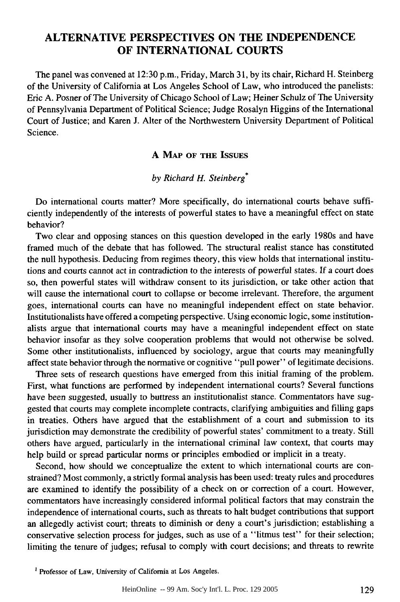## **ALTERNATIVE PERSPECTIVES ON THE INDEPENDENCE OF INTERNATIONAL COURTS**

The panel was convened at **12:30** p.m., Friday, March **31, by** its chair, Richard H. Steinberg of the University of California at Los Angeles School of Law, who introduced the panelists: Eric **A.** Posner of The University of Chicago School of Law; Heiner Schulz of The University of Pennsylvania Department of Political Science; Judge Rosalyn Higgins of the International Court of Justice; and Karen **J.** Alter of the Northwestern University Department of Political Science.

#### **A MAP OF THE ISSUES**

#### *by Richard H. Steinberg\**

Do international courts matter? More specifically, do international courts behave sufficiently independently of the interests of powerful states to have a meaningful effect on state behavior?

Two clear and opposing stances on this question developed in the early 1980s and have framed much of the debate that has followed. The structural realist stance has constituted the null hypothesis. Deducing from regimes theory, this view holds that international institutions and courts cannot act in contradiction to the interests of powerful states. **If** a court does so, then powerful states will withdraw consent to its jurisdiction, or take other action that will cause the international court to collapse or become irrelevant. Therefore, the argument goes, international courts can have no meaningful independent effect on state behavior. Institutionalists have offered a competing perspective. Using economic logic, some institutionalists argue that international courts may have a meaningful independent effect on state behavior insofar as they solve cooperation problems that would not otherwise be solved. Some other institutionalists, influenced **by** sociology, argue that courts may meaningfully affect state behavior through the normative or cognitive "pull power" of legitimate decisions.

Three sets of research questions have emerged from this initial framing of the problem. First, what functions are performed **by** independent international courts? Several functions have been suggested, usually to buttress an institutionalist stance. Commentators have suggested that courts may complete incomplete contracts, clarifying ambiguities and filling gaps in treaties. Others have argued that the establishment of a court and submission to its jurisdiction may demonstrate the credibility of powerful states' commitment to a treaty. Still others have argued, particularly in the international criminal law context, that courts may help build or spread particular norms or principles embodied or implicit in a treaty.

Second, how should we conceptualize the extent to which international courts are constrained? Most commonly, a strictly formal analysis has been used: treaty rules and procedures are examined to identify the possibility of a check on or correction of a court. However, commentators have increasingly considered informal political factors that may constrain the independence of international courts, such as threats to halt budget contributions that support an allegedly activist court; threats to diminish or deny a court's jurisdiction; establishing a conservative selection process for judges, such as use of a "litmus test" for their selection; limiting the tenure of judges; refusal to comply with court decisions; and threats to rewrite

**<sup>1</sup>** Professor of Law, University of California at Los Angeles.